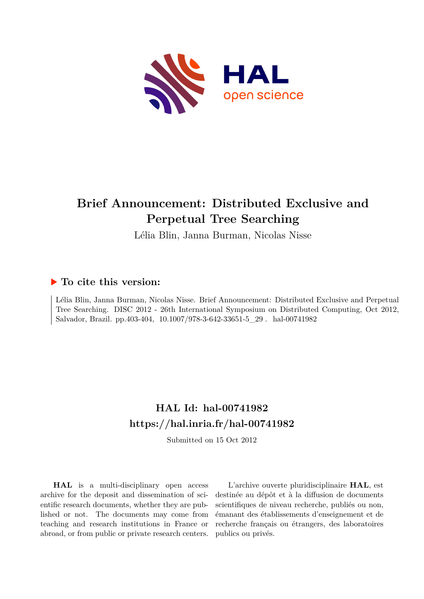

# **Brief Announcement: Distributed Exclusive and Perpetual Tree Searching**

Lélia Blin, Janna Burman, Nicolas Nisse

### **To cite this version:**

Lélia Blin, Janna Burman, Nicolas Nisse. Brief Announcement: Distributed Exclusive and Perpetual Tree Searching. DISC 2012 - 26th International Symposium on Distributed Computing, Oct 2012, Salvador, Brazil. pp.403-404,  $10.1007/978$ -3-642-33651-5\_29  $.$  hal-00741982

## **HAL Id: hal-00741982 <https://hal.inria.fr/hal-00741982>**

Submitted on 15 Oct 2012

**HAL** is a multi-disciplinary open access archive for the deposit and dissemination of scientific research documents, whether they are published or not. The documents may come from teaching and research institutions in France or abroad, or from public or private research centers.

L'archive ouverte pluridisciplinaire **HAL**, est destinée au dépôt et à la diffusion de documents scientifiques de niveau recherche, publiés ou non, émanant des établissements d'enseignement et de recherche français ou étrangers, des laboratoires publics ou privés.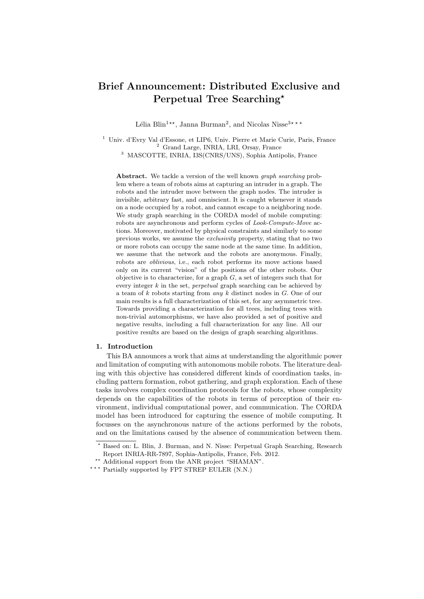### **Brief Announcement: Distributed Exclusive and Perpetual Tree Searching***<sup>⋆</sup>*

Lélia Blin<sup>1</sup><sup>\*\*</sup>, Janna Burman<sup>2</sup>, and Nicolas Nisse<sup>3\*\*\*</sup>

<sup>1</sup> Univ. d'Evry Val d'Essone, et LIP6, Univ. Pierre et Marie Curie, Paris, France <sup>2</sup> Grand Large, INRIA, LRI, Orsay, France <sup>3</sup> MASCOTTE, INRIA, I3S(CNRS/UNS), Sophia Antipolis, France

**Abstract.** We tackle a version of the well known *graph searching* problem where a team of robots aims at capturing an intruder in a graph. The robots and the intruder move between the graph nodes. The intruder is invisible, arbitrary fast, and omniscient. It is caught whenever it stands on a node occupied by a robot, and cannot escape to a neighboring node. We study graph searching in the CORDA model of mobile computing: robots are asynchronous and perform cycles of *Look-Compute-Move* actions. Moreover, motivated by physical constraints and similarly to some previous works, we assume the *exclusivity* property, stating that no two or more robots can occupy the same node at the same time. In addition, we assume that the network and the robots are anonymous. Finally, robots are *oblivious*, i.e., each robot performs its move actions based only on its current "vision" of the positions of the other robots. Our objective is to characterize, for a graph *G*, a set of integers such that for every integer *k* in the set, *perpetual* graph searching can be achieved by a team of *k* robots starting from *any k* distinct nodes in *G*. One of our main results is a full characterization of this set, for any asymmetric tree. Towards providing a characterization for all trees, including trees with non-trivial automorphisms, we have also provided a set of positive and negative results, including a full characterization for any line. All our positive results are based on the design of graph searching algorithms.

#### **1. Introduction**

This BA announces a work that aims at understanding the algorithmic power and limitation of computing with autonomous mobile robots. The literature dealing with this objective has considered different kinds of coordination tasks, including pattern formation, robot gathering, and graph exploration. Each of these tasks involves complex coordination protocols for the robots, whose complexity depends on the capabilities of the robots in terms of perception of their environment, individual computational power, and communication. The CORDA model has been introduced for capturing the essence of mobile computing. It focusses on the asynchronous nature of the actions performed by the robots, and on the limitations caused by the absence of communication between them.

*<sup>⋆</sup>* Based on: L. Blin, J. Burman, and N. Nisse: Perpetual Graph Searching, Research Report INRIA-RR-7897, Sophia-Antipolis, France, Feb. 2012.

*<sup>⋆⋆</sup>* Additional support from the ANR project "SHAMAN".

*<sup>⋆ ⋆ ⋆</sup>* Partially supported by FP7 STREP EULER (N.N.)